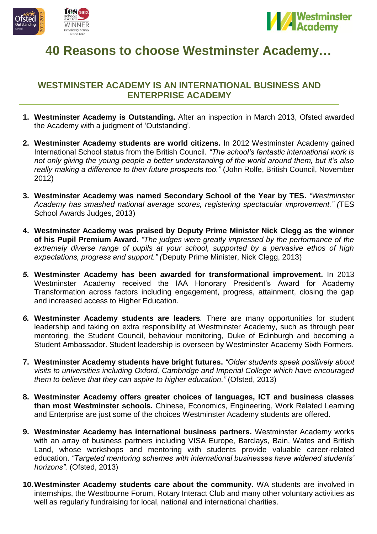



# **40 Reasons to choose Westminster Academy…**

#### **WESTMINSTER ACADEMY IS AN INTERNATIONAL BUSINESS AND ENTERPRISE ACADEMY**

- **1. Westminster Academy is Outstanding.** After an inspection in March 2013, Ofsted awarded the Academy with a judgment of "Outstanding".
- **2. Westminster Academy students are world citizens.** In 2012 Westminster Academy gained International School status from the British Council. *"The school's fantastic international work is not only giving the young people a better understanding of the world around them, but it's also really making a difference to their future prospects too."* (John Rolfe, British Council, November 2012)
- **3. Westminster Academy was named Secondary School of the Year by TES.** *"Westminster Academy has smashed national average scores, registering spectacular improvement." (*TES School Awards Judges, 2013)
- **4. Westminster Academy was praised by Deputy Prime Minister Nick Clegg as the winner of his Pupil Premium Award.** *"The judges were greatly impressed by the performance of the extremely diverse range of pupils at your school, supported by a pervasive ethos of high expectations, progress and support." (*Deputy Prime Minister, Nick Clegg, 2013)
- *5.* **Westminster Academy has been awarded for transformational improvement.** In 2013 Westminster Academy received the IAA Honorary President's Award for Academy Transformation across factors including engagement, progress, attainment, closing the gap and increased access to Higher Education.
- *6.* **Westminster Academy students are leaders***.* There are many opportunities for student leadership and taking on extra responsibility at Westminster Academy, such as through peer mentoring, the Student Council, behaviour monitoring, Duke of Edinburgh and becoming a Student Ambassador. Student leadership is overseen by Westminster Academy Sixth Formers.
- **7. Westminster Academy students have bright futures.** *"Older students speak positively about visits to universities including Oxford, Cambridge and Imperial College which have encouraged them to believe that they can aspire to higher education."* (Ofsted, 2013)
- **8. Westminster Academy offers greater choices of languages, ICT and business classes than most Westminster schools.** Chinese, Economics, Engineering, Work Related Learning and Enterprise are just some of the choices Westminster Academy students are offered.
- **9. Westminster Academy has international business partners.** Westminster Academy works with an array of business partners including VISA Europe, Barclays, Bain, Wates and British Land, whose workshops and mentoring with students provide valuable career-related education. *"Targeted mentoring schemes with international businesses have widened students' horizons".* (Ofsted, 2013)
- **10.Westminster Academy students care about the community.** WA students are involved in internships, the Westbourne Forum, Rotary Interact Club and many other voluntary activities as well as regularly fundraising for local, national and international charities.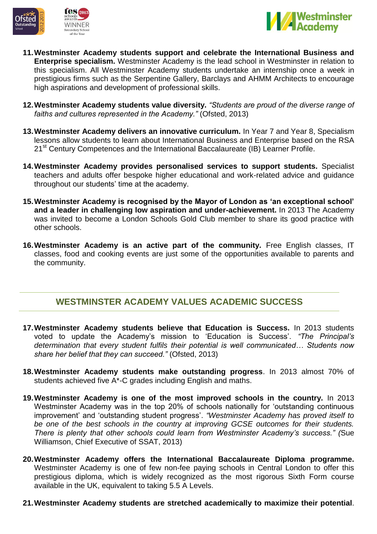



- **11.Westminster Academy students support and celebrate the International Business and Enterprise specialism.** Westminster Academy is the lead school in Westminster in relation to this specialism. All Westminster Academy students undertake an internship once a week in prestigious firms such as the Serpentine Gallery, Barclays and AHMM Architects to encourage high aspirations and development of professional skills.
- **12.Westminster Academy students value diversity.** *"Students are proud of the diverse range of faiths and cultures represented in the Academy."* (Ofsted, 2013)
- **13.Westminster Academy delivers an innovative curriculum.** In Year 7 and Year 8, Specialism lessons allow students to learn about International Business and Enterprise based on the RSA 21<sup>st</sup> Century Competences and the International Baccalaureate (IB) Learner Profile.
- **14.Westminster Academy provides personalised services to support students.** Specialist teachers and adults offer bespoke higher educational and work-related advice and guidance throughout our students" time at the academy.
- **15.Westminster Academy is recognised by the Mayor of London as 'an exceptional school' and a leader in challenging low aspiration and under-achievement.** In 2013 The Academy was invited to become a London Schools Gold Club member to share its good practice with other schools.
- **16.Westminster Academy is an active part of the community.** Free English classes, IT classes, food and cooking events are just some of the opportunities available to parents and the community.

## **WESTMINSTER ACADEMY VALUES ACADEMIC SUCCESS**

- **17.Westminster Academy students believe that Education is Success.** In 2013 students voted to update the Academy"s mission to "Education is Success". *"The Principal's determination that every student fulfils their potential is well communicated… Students now share her belief that they can succeed."* (Ofsted, 2013)
- **18.Westminster Academy students make outstanding progress**. In 2013 almost 70% of students achieved five A\*-C grades including English and maths.
- **19.Westminster Academy is one of the most improved schools in the country.** In 2013 Westminster Academy was in the top 20% of schools nationally for "outstanding continuous improvement' and 'outstanding student progress'. "Westminster Academy has proved itself to *be one of the best schools in the country at improving GCSE outcomes for their students. There is plenty that other schools could learn from Westminster Academy's success." (*Sue Williamson, Chief Executive of SSAT, 2013)
- **20.Westminster Academy offers the International Baccalaureate Diploma programme.** Westminster Academy is one of few non-fee paying schools in Central London to offer this prestigious diploma, which is widely recognized as the most rigorous Sixth Form course available in the UK, equivalent to taking 5.5 A Levels.
- **21.Westminster Academy students are stretched academically to maximize their potential**.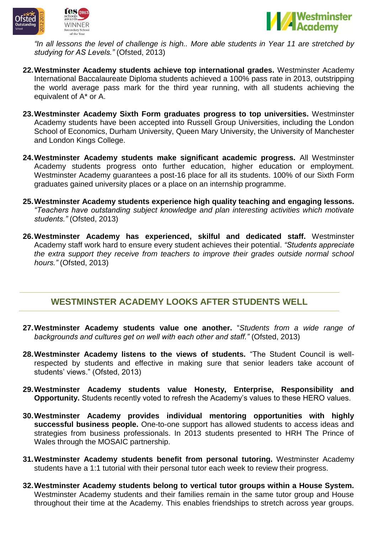



*"In all lessons the level of challenge is high.. More able students in Year 11 are stretched by studying for AS Levels."* (Ofsted, 2013)

- **22.Westminster Academy students achieve top international grades.** Westminster Academy International Baccalaureate Diploma students achieved a 100% pass rate in 2013, outstripping the world average pass mark for the third year running, with all students achieving the equivalent of A\* or A.
- **23.Westminster Academy Sixth Form graduates progress to top universities.** Westminster Academy students have been accepted into Russell Group Universities, including the London School of Economics, Durham University, Queen Mary University, the University of Manchester and London Kings College.
- **24.Westminster Academy students make significant academic progress.** All Westminster Academy students progress onto further education, higher education or employment. Westminster Academy guarantees a post-16 place for all its students. 100% of our Sixth Form graduates gained university places or a place on an internship programme.
- **25.Westminster Academy students experience high quality teaching and engaging lessons.** *"Teachers have outstanding subject knowledge and plan interesting activities which motivate students."* (Ofsted, 2013)
- **26.Westminster Academy has experienced, skilful and dedicated staff.** Westminster Academy staff work hard to ensure every student achieves their potential. *"Students appreciate the extra support they receive from teachers to improve their grades outside normal school hours."* (Ofsted, 2013)

## **WESTMINSTER ACADEMY LOOKS AFTER STUDENTS WELL**

- **27.Westminster Academy students value one another.** "*Students from a wide range of backgrounds and cultures get on well with each other and staff."* (Ofsted, 2013)
- **28.Westminster Academy listens to the views of students.** "The Student Council is wellrespected by students and effective in making sure that senior leaders take account of students' views." (Ofsted, 2013)
- **29.Westminster Academy students value Honesty, Enterprise, Responsibility and Opportunity.** Students recently voted to refresh the Academy"s values to these HERO values.
- **30.Westminster Academy provides individual mentoring opportunities with highly successful business people.** One-to-one support has allowed students to access ideas and strategies from business professionals. In 2013 students presented to HRH The Prince of Wales through the MOSAIC partnership.
- **31.Westminster Academy students benefit from personal tutoring.** Westminster Academy students have a 1:1 tutorial with their personal tutor each week to review their progress.
- **32.Westminster Academy students belong to vertical tutor groups within a House System.**  Westminster Academy students and their families remain in the same tutor group and House throughout their time at the Academy. This enables friendships to stretch across year groups.